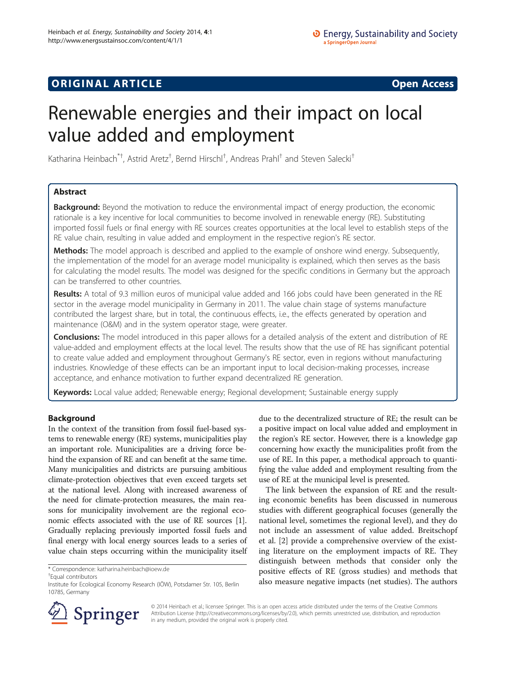## **ORIGINAL ARTICLE CONSERVANCE IN A LOCAL CONSERVANCE IN A LOCAL CONSERVANCE IN A LOCAL CONSERVANCE IN A LOCAL CONSERVANCE IN A LOCAL CONSERVANCE IN A LOCAL CONSERVANCE IN A LOCAL CONSERVANCE IN A LOCAL CONSERVANCE IN A L**

# Renewable energies and their impact on local value added and employment

Katharina Heinbach<sup>\*†</sup>, Astrid Aretz<sup>†</sup>, Bernd Hirschl<sup>†</sup>, Andreas Prahl<sup>†</sup> and Steven Salecki<sup>†</sup>

## Abstract

**Background:** Beyond the motivation to reduce the environmental impact of energy production, the economic rationale is a key incentive for local communities to become involved in renewable energy (RE). Substituting imported fossil fuels or final energy with RE sources creates opportunities at the local level to establish steps of the RE value chain, resulting in value added and employment in the respective region's RE sector.

**Methods:** The model approach is described and applied to the example of onshore wind energy. Subsequently, the implementation of the model for an average model municipality is explained, which then serves as the basis for calculating the model results. The model was designed for the specific conditions in Germany but the approach can be transferred to other countries.

Results: A total of 9.3 million euros of municipal value added and 166 jobs could have been generated in the RE sector in the average model municipality in Germany in 2011. The value chain stage of systems manufacture contributed the largest share, but in total, the continuous effects, i.e., the effects generated by operation and maintenance (O&M) and in the system operator stage, were greater.

Conclusions: The model introduced in this paper allows for a detailed analysis of the extent and distribution of RE value-added and employment effects at the local level. The results show that the use of RE has significant potential to create value added and employment throughout Germany's RE sector, even in regions without manufacturing industries. Knowledge of these effects can be an important input to local decision-making processes, increase acceptance, and enhance motivation to further expand decentralized RE generation.

Keywords: Local value added; Renewable energy; Regional development; Sustainable energy supply

## Background

In the context of the transition from fossil fuel-based systems to renewable energy (RE) systems, municipalities play an important role. Municipalities are a driving force behind the expansion of RE and can benefit at the same time. Many municipalities and districts are pursuing ambitious climate-protection objectives that even exceed targets set at the national level. Along with increased awareness of the need for climate-protection measures, the main reasons for municipality involvement are the regional economic effects associated with the use of RE sources [[1](#page-8-0)]. Gradually replacing previously imported fossil fuels and final energy with local energy sources leads to a series of value chain steps occurring within the municipality itself

Equal contributors



The link between the expansion of RE and the resulting economic benefits has been discussed in numerous studies with different geographical focuses (generally the national level, sometimes the regional level), and they do not include an assessment of value added. Breitschopf et al. [\[2](#page-8-0)] provide a comprehensive overview of the existing literature on the employment impacts of RE. They distinguish between methods that consider only the positive effects of RE (gross studies) and methods that also measure negative impacts (net studies). The authors



© 2014 Heinbach et al.; licensee Springer. This is an open access article distributed under the terms of the Creative Commons Attribution License [\(http://creativecommons.org/licenses/by/2.0\)](http://creativecommons.org/licenses/by/2.0), which permits unrestricted use, distribution, and reproduction in any medium, provided the original work is properly cited.

<sup>\*</sup> Correspondence: [katharina.heinbach@ioew.de](mailto:katharina.heinbach@ioew.de) †

Institute for Ecological Economy Research (IÖW), Potsdamer Str. 105, Berlin 10785, Germany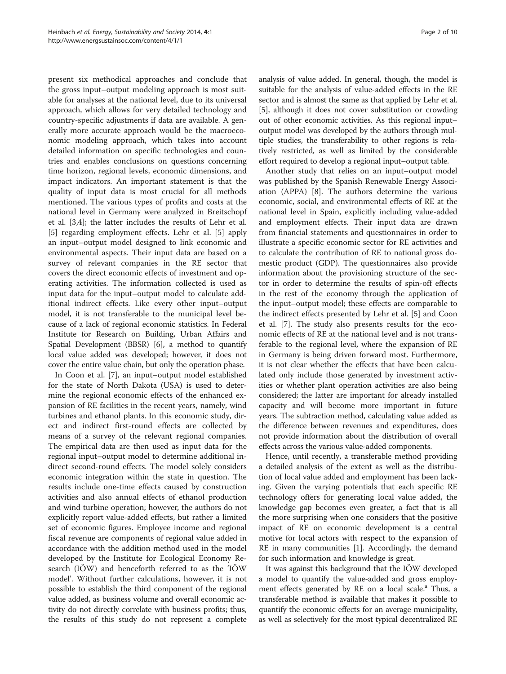present six methodical approaches and conclude that the gross input–output modeling approach is most suitable for analyses at the national level, due to its universal approach, which allows for very detailed technology and country-specific adjustments if data are available. A generally more accurate approach would be the macroeconomic modeling approach, which takes into account detailed information on specific technologies and countries and enables conclusions on questions concerning time horizon, regional levels, economic dimensions, and impact indicators. An important statement is that the quality of input data is most crucial for all methods mentioned. The various types of profits and costs at the national level in Germany were analyzed in Breitschopf et al. [[3,4\]](#page-8-0); the latter includes the results of Lehr et al. [[5\]](#page-8-0) regarding employment effects. Lehr et al. [\[5](#page-8-0)] apply an input–output model designed to link economic and environmental aspects. Their input data are based on a survey of relevant companies in the RE sector that covers the direct economic effects of investment and operating activities. The information collected is used as input data for the input–output model to calculate additional indirect effects. Like every other input–output model, it is not transferable to the municipal level because of a lack of regional economic statistics. In Federal Institute for Research on Building, Urban Affairs and Spatial Development (BBSR) [\[6\]](#page-9-0), a method to quantify local value added was developed; however, it does not cover the entire value chain, but only the operation phase.

In Coon et al. [\[7](#page-9-0)], an input–output model established for the state of North Dakota (USA) is used to determine the regional economic effects of the enhanced expansion of RE facilities in the recent years, namely, wind turbines and ethanol plants. In this economic study, direct and indirect first-round effects are collected by means of a survey of the relevant regional companies. The empirical data are then used as input data for the regional input–output model to determine additional indirect second-round effects. The model solely considers economic integration within the state in question. The results include one-time effects caused by construction activities and also annual effects of ethanol production and wind turbine operation; however, the authors do not explicitly report value-added effects, but rather a limited set of economic figures. Employee income and regional fiscal revenue are components of regional value added in accordance with the addition method used in the model developed by the Institute for Ecological Economy Research (IÖW) and henceforth referred to as the 'IÖW model'. Without further calculations, however, it is not possible to establish the third component of the regional value added, as business volume and overall economic activity do not directly correlate with business profits; thus, the results of this study do not represent a complete

analysis of value added. In general, though, the model is suitable for the analysis of value-added effects in the RE sector and is almost the same as that applied by Lehr et al. [[5\]](#page-8-0), although it does not cover substitution or crowding out of other economic activities. As this regional input– output model was developed by the authors through multiple studies, the transferability to other regions is relatively restricted, as well as limited by the considerable effort required to develop a regional input–output table.

Another study that relies on an input–output model was published by the Spanish Renewable Energy Association (APPA) [\[8](#page-9-0)]. The authors determine the various economic, social, and environmental effects of RE at the national level in Spain, explicitly including value-added and employment effects. Their input data are drawn from financial statements and questionnaires in order to illustrate a specific economic sector for RE activities and to calculate the contribution of RE to national gross domestic product (GDP). The questionnaires also provide information about the provisioning structure of the sector in order to determine the results of spin-off effects in the rest of the economy through the application of the input–output model; these effects are comparable to the indirect effects presented by Lehr et al. [\[5](#page-8-0)] and Coon et al. [[7\]](#page-9-0). The study also presents results for the economic effects of RE at the national level and is not transferable to the regional level, where the expansion of RE in Germany is being driven forward most. Furthermore, it is not clear whether the effects that have been calculated only include those generated by investment activities or whether plant operation activities are also being considered; the latter are important for already installed capacity and will become more important in future years. The subtraction method, calculating value added as the difference between revenues and expenditures, does not provide information about the distribution of overall effects across the various value-added components.

Hence, until recently, a transferable method providing a detailed analysis of the extent as well as the distribution of local value added and employment has been lacking. Given the varying potentials that each specific RE technology offers for generating local value added, the knowledge gap becomes even greater, a fact that is all the more surprising when one considers that the positive impact of RE on economic development is a central motive for local actors with respect to the expansion of RE in many communities [\[1\]](#page-8-0). Accordingly, the demand for such information and knowledge is great.

It was against this background that the IÖW developed a model to quantify the value-added and gross employment effects generated by RE on a local scale.<sup>a</sup> Thus, a transferable method is available that makes it possible to quantify the economic effects for an average municipality, as well as selectively for the most typical decentralized RE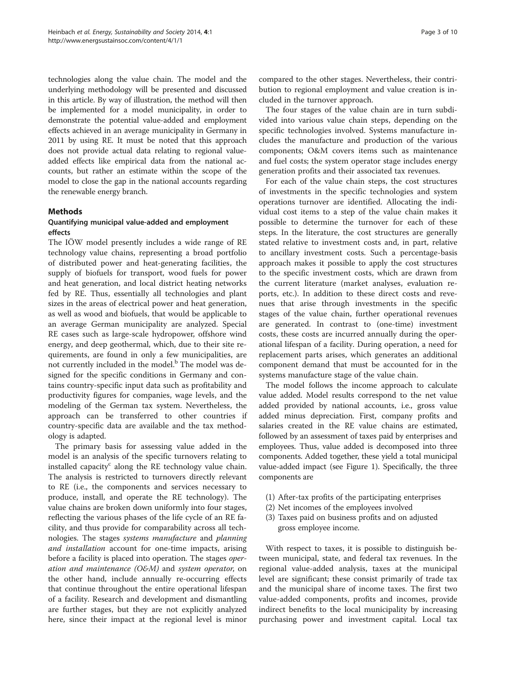technologies along the value chain. The model and the underlying methodology will be presented and discussed in this article. By way of illustration, the method will then be implemented for a model municipality, in order to demonstrate the potential value-added and employment effects achieved in an average municipality in Germany in 2011 by using RE. It must be noted that this approach does not provide actual data relating to regional valueadded effects like empirical data from the national accounts, but rather an estimate within the scope of the model to close the gap in the national accounts regarding the renewable energy branch.

## Methods

## Quantifying municipal value-added and employment effects

The IÖW model presently includes a wide range of RE technology value chains, representing a broad portfolio of distributed power and heat-generating facilities, the supply of biofuels for transport, wood fuels for power and heat generation, and local district heating networks fed by RE. Thus, essentially all technologies and plant sizes in the areas of electrical power and heat generation, as well as wood and biofuels, that would be applicable to an average German municipality are analyzed. Special RE cases such as large-scale hydropower, offshore wind energy, and deep geothermal, which, due to their site requirements, are found in only a few municipalities, are not currently included in the model.<sup>b</sup> The model was designed for the specific conditions in Germany and contains country-specific input data such as profitability and productivity figures for companies, wage levels, and the modeling of the German tax system. Nevertheless, the approach can be transferred to other countries if country-specific data are available and the tax methodology is adapted.

The primary basis for assessing value added in the model is an analysis of the specific turnovers relating to installed capacity<sup>c</sup> along the RE technology value chain. The analysis is restricted to turnovers directly relevant to RE (i.e., the components and services necessary to produce, install, and operate the RE technology). The value chains are broken down uniformly into four stages, reflecting the various phases of the life cycle of an RE facility, and thus provide for comparability across all technologies. The stages systems manufacture and planning and installation account for one-time impacts, arising before a facility is placed into operation. The stages *oper*ation and maintenance (O&M) and system operator, on the other hand, include annually re-occurring effects that continue throughout the entire operational lifespan of a facility. Research and development and dismantling are further stages, but they are not explicitly analyzed here, since their impact at the regional level is minor compared to the other stages. Nevertheless, their contribution to regional employment and value creation is included in the turnover approach.

The four stages of the value chain are in turn subdivided into various value chain steps, depending on the specific technologies involved. Systems manufacture includes the manufacture and production of the various components; O&M covers items such as maintenance and fuel costs; the system operator stage includes energy generation profits and their associated tax revenues.

For each of the value chain steps, the cost structures of investments in the specific technologies and system operations turnover are identified. Allocating the individual cost items to a step of the value chain makes it possible to determine the turnover for each of these steps. In the literature, the cost structures are generally stated relative to investment costs and, in part, relative to ancillary investment costs. Such a percentage-basis approach makes it possible to apply the cost structures to the specific investment costs, which are drawn from the current literature (market analyses, evaluation reports, etc.). In addition to these direct costs and revenues that arise through investments in the specific stages of the value chain, further operational revenues are generated. In contrast to (one-time) investment costs, these costs are incurred annually during the operational lifespan of a facility. During operation, a need for replacement parts arises, which generates an additional component demand that must be accounted for in the systems manufacture stage of the value chain.

The model follows the income approach to calculate value added. Model results correspond to the net value added provided by national accounts, i.e., gross value added minus depreciation. First, company profits and salaries created in the RE value chains are estimated, followed by an assessment of taxes paid by enterprises and employees. Thus, value added is decomposed into three components. Added together, these yield a total municipal value-added impact (see Figure [1\)](#page-3-0). Specifically, the three components are

- (1) After-tax profits of the participating enterprises
- (2) Net incomes of the employees involved
- (3) Taxes paid on business profits and on adjusted gross employee income.

With respect to taxes, it is possible to distinguish between municipal, state, and federal tax revenues. In the regional value-added analysis, taxes at the municipal level are significant; these consist primarily of trade tax and the municipal share of income taxes. The first two value-added components, profits and incomes, provide indirect benefits to the local municipality by increasing purchasing power and investment capital. Local tax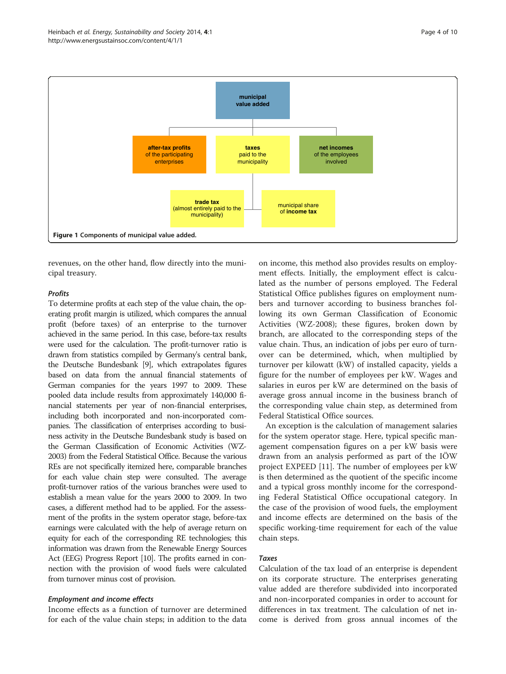<span id="page-3-0"></span>

revenues, on the other hand, flow directly into the municipal treasury.

#### Profits

To determine profits at each step of the value chain, the operating profit margin is utilized, which compares the annual profit (before taxes) of an enterprise to the turnover achieved in the same period. In this case, before-tax results were used for the calculation. The profit-turnover ratio is drawn from statistics compiled by Germany's central bank, the Deutsche Bundesbank [[9](#page-9-0)], which extrapolates figures based on data from the annual financial statements of German companies for the years 1997 to 2009. These pooled data include results from approximately 140,000 financial statements per year of non-financial enterprises, including both incorporated and non-incorporated companies. The classification of enterprises according to business activity in the Deutsche Bundesbank study is based on the German Classification of Economic Activities (WZ-2003) from the Federal Statistical Office. Because the various REs are not specifically itemized here, comparable branches for each value chain step were consulted. The average profit-turnover ratios of the various branches were used to establish a mean value for the years 2000 to 2009. In two cases, a different method had to be applied. For the assessment of the profits in the system operator stage, before-tax earnings were calculated with the help of average return on equity for each of the corresponding RE technologies; this information was drawn from the Renewable Energy Sources Act (EEG) Progress Report [[10\]](#page-9-0). The profits earned in connection with the provision of wood fuels were calculated from turnover minus cost of provision.

## Employment and income effects

Income effects as a function of turnover are determined for each of the value chain steps; in addition to the data

on income, this method also provides results on employment effects. Initially, the employment effect is calculated as the number of persons employed. The Federal Statistical Office publishes figures on employment numbers and turnover according to business branches following its own German Classification of Economic Activities (WZ-2008); these figures, broken down by branch, are allocated to the corresponding steps of the value chain. Thus, an indication of jobs per euro of turnover can be determined, which, when multiplied by turnover per kilowatt (kW) of installed capacity, yields a figure for the number of employees per kW. Wages and salaries in euros per kW are determined on the basis of average gross annual income in the business branch of the corresponding value chain step, as determined from Federal Statistical Office sources.

An exception is the calculation of management salaries for the system operator stage. Here, typical specific management compensation figures on a per kW basis were drawn from an analysis performed as part of the IÖW project EXPEED [[11](#page-9-0)]. The number of employees per kW is then determined as the quotient of the specific income and a typical gross monthly income for the corresponding Federal Statistical Office occupational category. In the case of the provision of wood fuels, the employment and income effects are determined on the basis of the specific working-time requirement for each of the value chain steps.

### Taxes

Calculation of the tax load of an enterprise is dependent on its corporate structure. The enterprises generating value added are therefore subdivided into incorporated and non-incorporated companies in order to account for differences in tax treatment. The calculation of net income is derived from gross annual incomes of the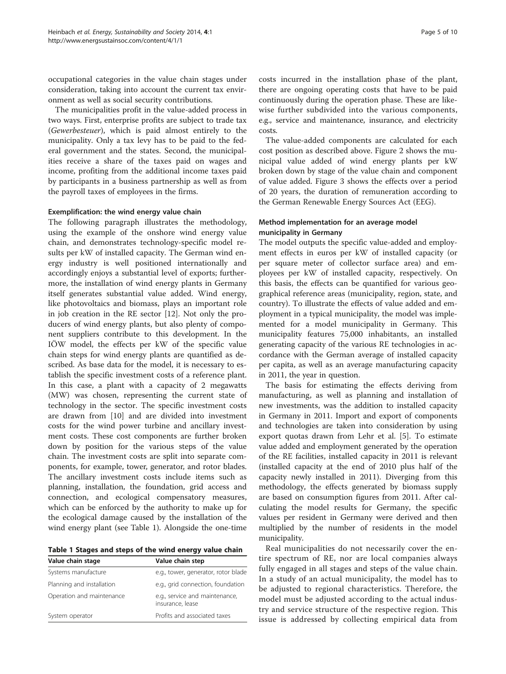occupational categories in the value chain stages under consideration, taking into account the current tax environment as well as social security contributions.

The municipalities profit in the value-added process in two ways. First, enterprise profits are subject to trade tax (Gewerbesteuer), which is paid almost entirely to the municipality. Only a tax levy has to be paid to the federal government and the states. Second, the municipalities receive a share of the taxes paid on wages and income, profiting from the additional income taxes paid by participants in a business partnership as well as from the payroll taxes of employees in the firms.

## Exemplification: the wind energy value chain

The following paragraph illustrates the methodology, using the example of the onshore wind energy value chain, and demonstrates technology-specific model results per kW of installed capacity. The German wind energy industry is well positioned internationally and accordingly enjoys a substantial level of exports; furthermore, the installation of wind energy plants in Germany itself generates substantial value added. Wind energy, like photovoltaics and biomass, plays an important role in job creation in the RE sector [[12\]](#page-9-0). Not only the producers of wind energy plants, but also plenty of component suppliers contribute to this development. In the IÖW model, the effects per kW of the specific value chain steps for wind energy plants are quantified as described. As base data for the model, it is necessary to establish the specific investment costs of a reference plant. In this case, a plant with a capacity of 2 megawatts (MW) was chosen, representing the current state of technology in the sector. The specific investment costs are drawn from [\[10](#page-9-0)] and are divided into investment costs for the wind power turbine and ancillary investment costs. These cost components are further broken down by position for the various steps of the value chain. The investment costs are split into separate components, for example, tower, generator, and rotor blades. The ancillary investment costs include items such as planning, installation, the foundation, grid access and connection, and ecological compensatory measures, which can be enforced by the authority to make up for the ecological damage caused by the installation of the wind energy plant (see Table 1). Alongside the one-time

Table 1 Stages and steps of the wind energy value chain

| Value chain stage         | Value chain step                                   |
|---------------------------|----------------------------------------------------|
| Systems manufacture       | e.g., tower, generator, rotor blade                |
| Planning and installation | e.g., grid connection, foundation                  |
| Operation and maintenance | e.g., service and maintenance,<br>insurance, lease |
| System operator           | Profits and associated taxes                       |

costs incurred in the installation phase of the plant, there are ongoing operating costs that have to be paid continuously during the operation phase. These are likewise further subdivided into the various components, e.g., service and maintenance, insurance, and electricity costs.

The value-added components are calculated for each cost position as described above. Figure [2](#page-5-0) shows the municipal value added of wind energy plants per kW broken down by stage of the value chain and component of value added. Figure [3](#page-5-0) shows the effects over a period of 20 years, the duration of remuneration according to the German Renewable Energy Sources Act (EEG).

## Method implementation for an average model municipality in Germany

The model outputs the specific value-added and employment effects in euros per kW of installed capacity (or per square meter of collector surface area) and employees per kW of installed capacity, respectively. On this basis, the effects can be quantified for various geographical reference areas (municipality, region, state, and country). To illustrate the effects of value added and employment in a typical municipality, the model was implemented for a model municipality in Germany. This municipality features 75,000 inhabitants, an installed generating capacity of the various RE technologies in accordance with the German average of installed capacity per capita, as well as an average manufacturing capacity in 2011, the year in question.

The basis for estimating the effects deriving from manufacturing, as well as planning and installation of new investments, was the addition to installed capacity in Germany in 2011. Import and export of components and technologies are taken into consideration by using export quotas drawn from Lehr et al. [[5\]](#page-8-0). To estimate value added and employment generated by the operation of the RE facilities, installed capacity in 2011 is relevant (installed capacity at the end of 2010 plus half of the capacity newly installed in 2011). Diverging from this methodology, the effects generated by biomass supply are based on consumption figures from 2011. After calculating the model results for Germany, the specific values per resident in Germany were derived and then multiplied by the number of residents in the model municipality.

Real municipalities do not necessarily cover the entire spectrum of RE, nor are local companies always fully engaged in all stages and steps of the value chain. In a study of an actual municipality, the model has to be adjusted to regional characteristics. Therefore, the model must be adjusted according to the actual industry and service structure of the respective region. This issue is addressed by collecting empirical data from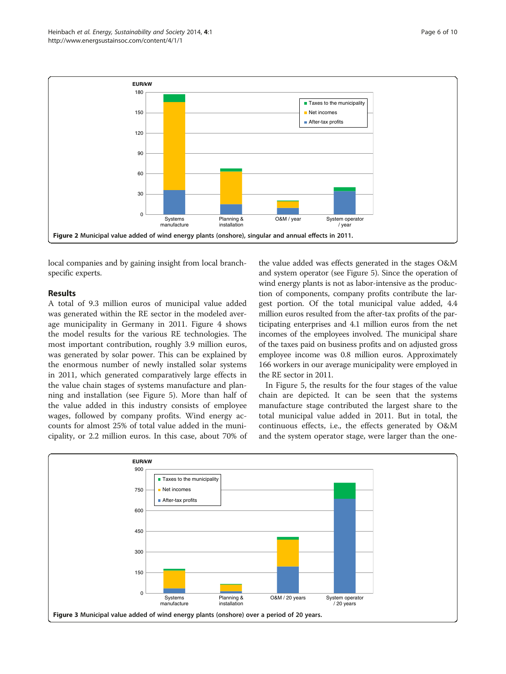<span id="page-5-0"></span>

local companies and by gaining insight from local branchspecific experts.

## Results

A total of 9.3 million euros of municipal value added was generated within the RE sector in the modeled average municipality in Germany in 2011. Figure [4](#page-6-0) shows the model results for the various RE technologies. The most important contribution, roughly 3.9 million euros, was generated by solar power. This can be explained by the enormous number of newly installed solar systems in 2011, which generated comparatively large effects in the value chain stages of systems manufacture and planning and installation (see Figure [5\)](#page-6-0). More than half of the value added in this industry consists of employee wages, followed by company profits. Wind energy accounts for almost 25% of total value added in the municipality, or 2.2 million euros. In this case, about 70% of

the value added was effects generated in the stages O&M and system operator (see Figure [5](#page-6-0)). Since the operation of wind energy plants is not as labor-intensive as the production of components, company profits contribute the largest portion. Of the total municipal value added, 4.4 million euros resulted from the after-tax profits of the participating enterprises and 4.1 million euros from the net incomes of the employees involved. The municipal share of the taxes paid on business profits and on adjusted gross employee income was 0.8 million euros. Approximately 166 workers in our average municipality were employed in the RE sector in 2011.

In Figure [5,](#page-6-0) the results for the four stages of the value chain are depicted. It can be seen that the systems manufacture stage contributed the largest share to the total municipal value added in 2011. But in total, the continuous effects, i.e., the effects generated by O&M and the system operator stage, were larger than the one-

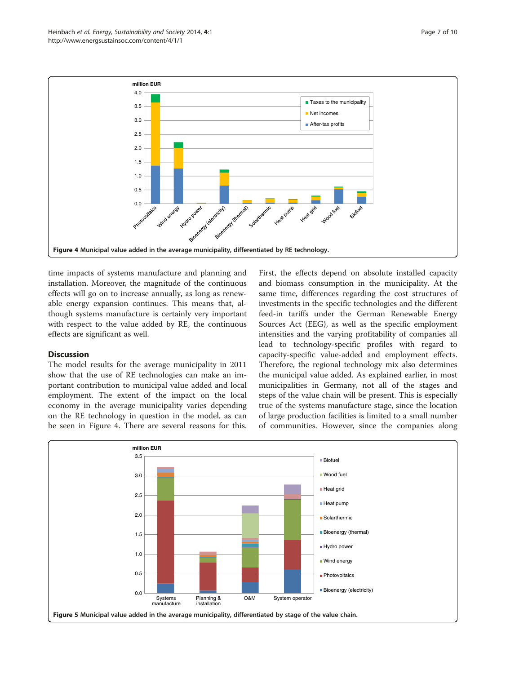<span id="page-6-0"></span>

time impacts of systems manufacture and planning and installation. Moreover, the magnitude of the continuous effects will go on to increase annually, as long as renewable energy expansion continues. This means that, although systems manufacture is certainly very important with respect to the value added by RE, the continuous effects are significant as well.

## **Discussion**

The model results for the average municipality in 2011 show that the use of RE technologies can make an important contribution to municipal value added and local employment. The extent of the impact on the local economy in the average municipality varies depending on the RE technology in question in the model, as can be seen in Figure 4. There are several reasons for this.

First, the effects depend on absolute installed capacity and biomass consumption in the municipality. At the same time, differences regarding the cost structures of investments in the specific technologies and the different feed-in tariffs under the German Renewable Energy Sources Act (EEG), as well as the specific employment intensities and the varying profitability of companies all lead to technology-specific profiles with regard to capacity-specific value-added and employment effects. Therefore, the regional technology mix also determines the municipal value added. As explained earlier, in most municipalities in Germany, not all of the stages and steps of the value chain will be present. This is especially true of the systems manufacture stage, since the location of large production facilities is limited to a small number of communities. However, since the companies along

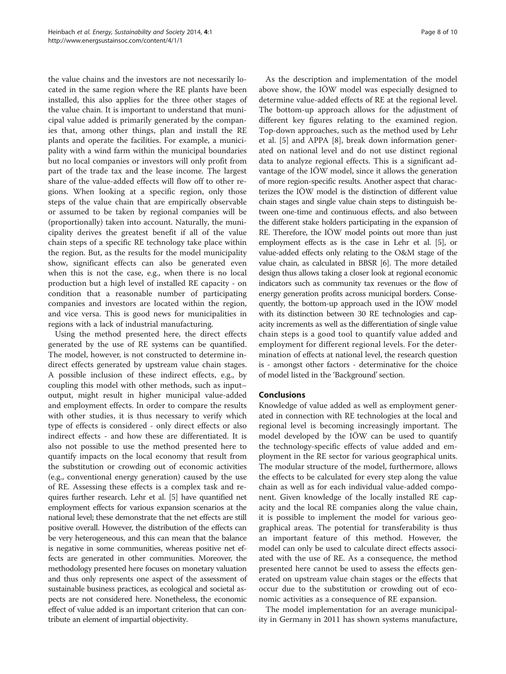the value chains and the investors are not necessarily located in the same region where the RE plants have been installed, this also applies for the three other stages of the value chain. It is important to understand that municipal value added is primarily generated by the companies that, among other things, plan and install the RE plants and operate the facilities. For example, a municipality with a wind farm within the municipal boundaries but no local companies or investors will only profit from part of the trade tax and the lease income. The largest share of the value-added effects will flow off to other regions. When looking at a specific region, only those steps of the value chain that are empirically observable or assumed to be taken by regional companies will be (proportionally) taken into account. Naturally, the municipality derives the greatest benefit if all of the value chain steps of a specific RE technology take place within the region. But, as the results for the model municipality show, significant effects can also be generated even when this is not the case, e.g., when there is no local production but a high level of installed RE capacity - on condition that a reasonable number of participating companies and investors are located within the region, and vice versa. This is good news for municipalities in regions with a lack of industrial manufacturing.

Using the method presented here, the direct effects generated by the use of RE systems can be quantified. The model, however, is not constructed to determine indirect effects generated by upstream value chain stages. A possible inclusion of these indirect effects, e.g., by coupling this model with other methods, such as input– output, might result in higher municipal value-added and employment effects. In order to compare the results with other studies, it is thus necessary to verify which type of effects is considered - only direct effects or also indirect effects - and how these are differentiated. It is also not possible to use the method presented here to quantify impacts on the local economy that result from the substitution or crowding out of economic activities (e.g., conventional energy generation) caused by the use of RE. Assessing these effects is a complex task and requires further research. Lehr et al. [[5\]](#page-8-0) have quantified net employment effects for various expansion scenarios at the national level; these demonstrate that the net effects are still positive overall. However, the distribution of the effects can be very heterogeneous, and this can mean that the balance is negative in some communities, whereas positive net effects are generated in other communities. Moreover, the methodology presented here focuses on monetary valuation and thus only represents one aspect of the assessment of sustainable business practices, as ecological and societal aspects are not considered here. Nonetheless, the economic effect of value added is an important criterion that can contribute an element of impartial objectivity.

As the description and implementation of the model above show, the IÖW model was especially designed to determine value-added effects of RE at the regional level. The bottom-up approach allows for the adjustment of different key figures relating to the examined region. Top-down approaches, such as the method used by Lehr et al. [[5\]](#page-8-0) and APPA [[8\]](#page-9-0), break down information generated on national level and do not use distinct regional data to analyze regional effects. This is a significant advantage of the IÖW model, since it allows the generation of more region-specific results. Another aspect that characterizes the IÖW model is the distinction of different value chain stages and single value chain steps to distinguish between one-time and continuous effects, and also between the different stake holders participating in the expansion of RE. Therefore, the IÖW model points out more than just employment effects as is the case in Lehr et al. [\[5](#page-8-0)], or value-added effects only relating to the O&M stage of the value chain, as calculated in BBSR [[6](#page-9-0)]. The more detailed design thus allows taking a closer look at regional economic indicators such as community tax revenues or the flow of energy generation profits across municipal borders. Consequently, the bottom-up approach used in the IÖW model with its distinction between 30 RE technologies and capacity increments as well as the differentiation of single value chain steps is a good tool to quantify value added and employment for different regional levels. For the determination of effects at national level, the research question is - amongst other factors - determinative for the choice of model listed in the 'Background' section.

## Conclusions

Knowledge of value added as well as employment generated in connection with RE technologies at the local and regional level is becoming increasingly important. The model developed by the IÖW can be used to quantify the technology-specific effects of value added and employment in the RE sector for various geographical units. The modular structure of the model, furthermore, allows the effects to be calculated for every step along the value chain as well as for each individual value-added component. Given knowledge of the locally installed RE capacity and the local RE companies along the value chain, it is possible to implement the model for various geographical areas. The potential for transferability is thus an important feature of this method. However, the model can only be used to calculate direct effects associated with the use of RE. As a consequence, the method presented here cannot be used to assess the effects generated on upstream value chain stages or the effects that occur due to the substitution or crowding out of economic activities as a consequence of RE expansion.

The model implementation for an average municipality in Germany in 2011 has shown systems manufacture,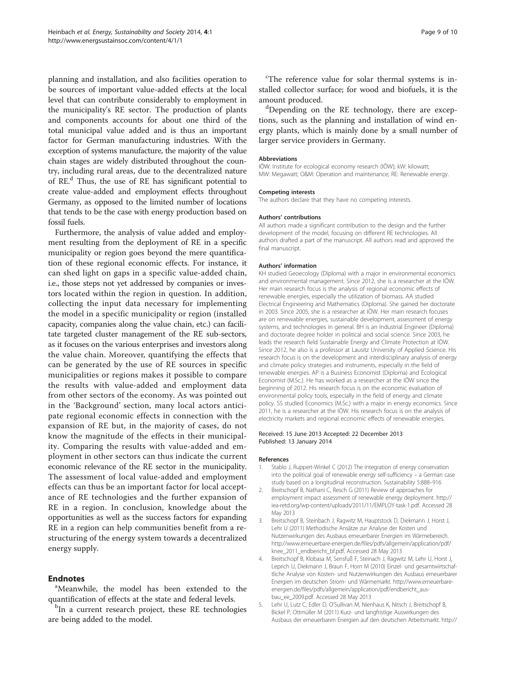<span id="page-8-0"></span>planning and installation, and also facilities operation to be sources of important value-added effects at the local level that can contribute considerably to employment in the municipality's RE sector. The production of plants and components accounts for about one third of the total municipal value added and is thus an important factor for German manufacturing industries. With the exception of systems manufacture, the majority of the value chain stages are widely distributed throughout the country, including rural areas, due to the decentralized nature of RE.<sup>d</sup> Thus, the use of RE has significant potential to create value-added and employment effects throughout Germany, as opposed to the limited number of locations that tends to be the case with energy production based on fossil fuels.

Furthermore, the analysis of value added and employment resulting from the deployment of RE in a specific municipality or region goes beyond the mere quantification of these regional economic effects. For instance, it can shed light on gaps in a specific value-added chain, i.e., those steps not yet addressed by companies or investors located within the region in question. In addition, collecting the input data necessary for implementing the model in a specific municipality or region (installed capacity, companies along the value chain, etc.) can facilitate targeted cluster management of the RE sub-sectors, as it focuses on the various enterprises and investors along the value chain. Moreover, quantifying the effects that can be generated by the use of RE sources in specific municipalities or regions makes it possible to compare the results with value-added and employment data from other sectors of the economy. As was pointed out in the 'Background' section, many local actors anticipate regional economic effects in connection with the expansion of RE but, in the majority of cases, do not know the magnitude of the effects in their municipality. Comparing the results with value-added and employment in other sectors can thus indicate the current economic relevance of the RE sector in the municipality. The assessment of local value-added and employment effects can thus be an important factor for local acceptance of RE technologies and the further expansion of RE in a region. In conclusion, knowledge about the opportunities as well as the success factors for expanding RE in a region can help communities benefit from a restructuring of the energy system towards a decentralized energy supply.

## **Endnotes**

<sup>a</sup>Meanwhile, the model has been extended to the quantification of effects at the state and federal levels.

<sup>b</sup>In a current research project, these RE technologies are being added to the model.

<sup>c</sup>The reference value for solar thermal systems is installed collector surface; for wood and biofuels, it is the amount produced.

<sup>d</sup>Depending on the RE technology, there are exceptions, such as the planning and installation of wind energy plants, which is mainly done by a small number of larger service providers in Germany.

#### Abbreviations

IÖW: Institute for ecological economy research (IÖW); kW: kilowatt; MW: Megawatt; O&M: Operation and maintenance; RE: Renewable energy.

#### Competing interests

The authors declare that they have no competing interests.

#### Authors' contributions

All authors made a significant contribution to the design and the further development of the model, focusing on different RE technologies. All authors drafted a part of the manuscript. All authors read and approved the final manuscript.

#### Authors' information

KH studied Geoecology (Diploma) with a major in environmental economics and environmental management. Since 2012, she is a researcher at the IÖW. Her main research focus is the analysis of regional economic effects of renewable energies, especially the utilization of biomass. AA studied Electrical Engineering and Mathematics (Diploma). She gained her doctorate in 2003. Since 2005, she is a researcher at IÖW. Her main research focuses are on renewable energies, sustainable development, assessment of energy systems, and technologies in general. BH is an Industrial Engineer (Diploma) and doctorate degree holder in political and social science. Since 2003, he leads the research field Sustainable Energy and Climate Protection at IÖW. Since 2012, he also is a professor at Lausitz University of Applied Science. His research focus is on the development and interdisciplinary analysis of energy and climate policy strategies and instruments, especially in the field of renewable energies. AP is a Business Economist (Diploma) and Ecological Economist (M.Sc.). He has worked as a researcher at the IÖW since the beginning of 2012. His research focus is on the economic evaluation of environmental policy tools, especially in the field of energy and climate policy. SS studied Economics (M.Sc.) with a major in energy economics. Since 2011, he is a researcher at the IÖW. His research focus is on the analysis of electricity markets and regional economic effects of renewable energies.

#### Received: 15 June 2013 Accepted: 22 December 2013 Published: 13 January 2014

#### References

- 1. Stablo J, Ruppert-Winkel C (2012) The integration of energy conservation into the political goal of renewable energy self-sufficiency – a German case study based on a longitudinal reconstruction. Sustainability 5:888–916
- 2. Breitschopf B, Nathani C, Resch G (2011) Review of approaches for employment impact assessment of renewable energy deployment. [http://](http://iea-retd.org/wp-content/uploads/2011/11/EMPLOY-task-1.pdf) [iea-retd.org/wp-content/uploads/2011/11/EMPLOY-task-1.pdf.](http://iea-retd.org/wp-content/uploads/2011/11/EMPLOY-task-1.pdf) Accessed 28 May 2013
- 3. Breitschopf B, Steinbach J, Ragwitz M, Hauptstock D, Diekmann J, Horst J, Lehr U (2011) Methodische Ansätze zur Analyse der Kosten und Nutzenwirkungen des Ausbaus erneuerbarer Energien im Wärmebereich. [http://www.erneuerbare-energien.de/files/pdfs/allgemein/application/pdf/](http://www.erneuerbare-energien.de/files/pdfs/allgemein/application/pdf/knee_2011_endbericht_bf.pdf) [knee\\_2011\\_endbericht\\_bf.pdf](http://www.erneuerbare-energien.de/files/pdfs/allgemein/application/pdf/knee_2011_endbericht_bf.pdf). Accessed 28 May 2013
- 4. Breitschopf B, Klobasa M, Sensfuß F, Steinach J, Ragwitz M, Lehr U, Horst J, Leprich U, Diekmann J, Braun F, Horn M (2010) Einzel- und gesamtwirtschaftliche Analyse von Kosten- und Nutzenwirkungen des Ausbaus erneuerbarer Energien im deutschen Strom- und Wärmemarkt. [http://www.erneuerbare](http://www.erneuerbare-energien.de/files/pdfs/allgemein/application/pdf/endbericht_ausbau_ee_2009.pdf)[energien.de/files/pdfs/allgemein/application/pdf/endbericht\\_aus](http://www.erneuerbare-energien.de/files/pdfs/allgemein/application/pdf/endbericht_ausbau_ee_2009.pdf)[bau\\_ee\\_2009.pdf.](http://www.erneuerbare-energien.de/files/pdfs/allgemein/application/pdf/endbericht_ausbau_ee_2009.pdf) Accessed 28 May 2013
- 5. Lehr U, Lutz C, Edler D, O'Sullivan M, Nienhaus K, Nitsch J, Breitschopf B, Bickel P, Ottmüller M (2011) Kurz- und langfristige Auswirkungen des Ausbaus der erneuerbaren Energien auf den deutschen Arbeitsmarkt. [http://](http://www.erneuerbare-energien.de/files/pdfs/allgemein/application/pdf/ee_arbeitsmarkt_bf.pdf)